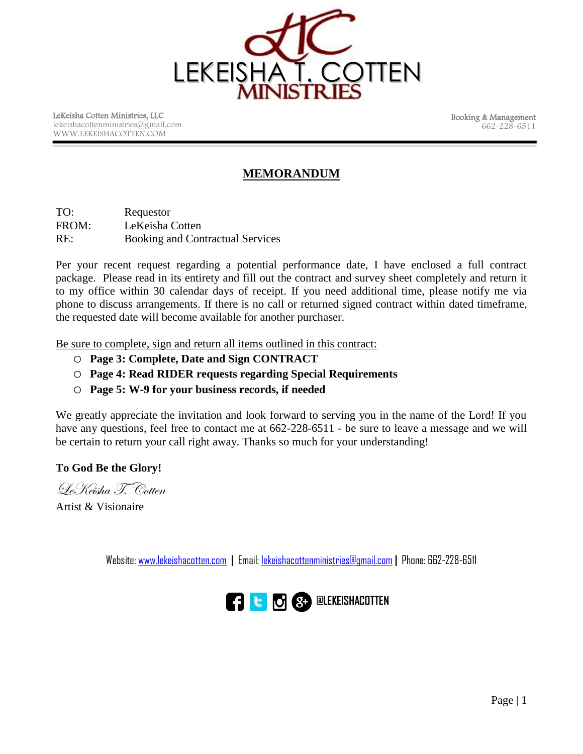

LeKeisha Cotten Ministries, LLC lekeishacottenministries@gmail.com WWW.LEKEISHACOTTEN.COM

 Booking & Management 662-228-6511

# **MEMORANDUM**

TO: Requestor FROM: LeKeisha Cotten RE: Booking and Contractual Services

Per your recent request regarding a potential performance date, I have enclosed a full contract package. Please read in its entirety and fill out the contract and survey sheet completely and return it to my office within 30 calendar days of receipt. If you need additional time, please notify me via phone to discuss arrangements. If there is no call or returned signed contract within dated timeframe, the requested date will become available for another purchaser.

Be sure to complete, sign and return all items outlined in this contract:

- o **Page 3: Complete, Date and Sign CONTRACT**
- o **Page 4: Read RIDER requests regarding Special Requirements**
- o **Page 5: W-9 for your business records, if needed**

We greatly appreciate the invitation and look forward to serving you in the name of the Lord! If you have any questions, feel free to contact me at 662-228-6511 - be sure to leave a message and we will be certain to return your call right away. Thanks so much for your understanding!

**To God Be the Glory!**

LeKeisha T. Cotten

Artist & Visionaire

Website: [www.lekeishacotten.com](http://www.lekeishacotten.com/) **|** Email[: lekeishacottenministries@gmail.com](mailto:lekeishacottenministries@gmail.com) **|** Phone: 662-228-6511

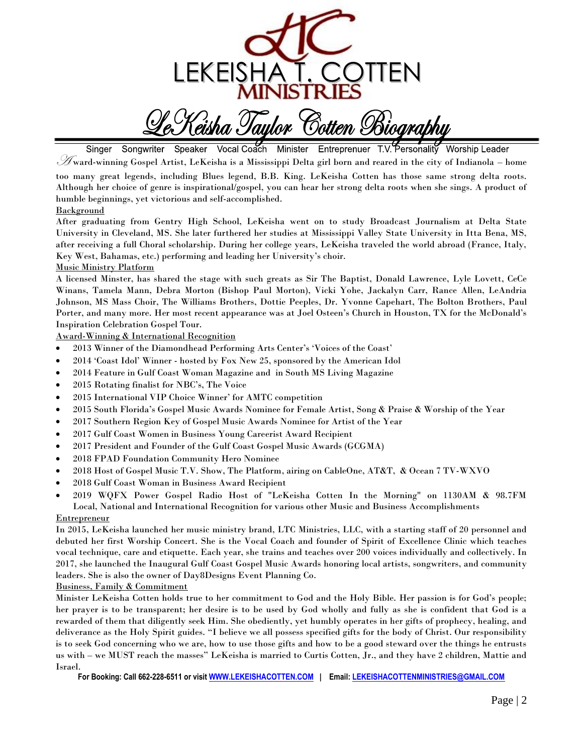

eisha Taulor Bott*en Bìoarabhu* 

Vocal Coach Singer Songwriter Speaker Minister Entreprenuer T.V. Personality **Worship Leader**  $\mathscr F$ ward-winning Gospel Artist, LeKeisha is a Mississippi Delta girl born and reared in the city of Indianola – home

too many great legends, including Blues legend, B.B. King. LeKeisha Cotten has those same strong delta roots. Although her choice of genre is inspirational/gospel, you can hear her strong delta roots when she sings. A product of humble beginnings, yet victorious and self-accomplished.

## **Background**

After graduating from Gentry High School, LeKeisha went on to study Broadcast Journalism at Delta State University in Cleveland, MS. She later furthered her studies at Mississippi Valley State University in Itta Bena, MS, after receiving a full Choral scholarship. During her college years, LeKeisha traveled the world abroad (France, Italy, Key West, Bahamas, etc.) performing and leading her University's choir.

### Music Ministry Platform

A licensed Minster, has shared the stage with such greats as Sir The Baptist, Donald Lawrence, Lyle Lovett, CeCe Winans, Tamela Mann, Debra Morton (Bishop Paul Morton), Vicki Yohe, Jackalyn Carr, Rance Allen, LeAndria Johnson, MS Mass Choir, The Williams Brothers, Dottie Peeples, Dr. Yvonne Capehart, The Bolton Brothers, Paul Porter, and many more. Her most recent appearance was at Joel Osteen's Church in Houston, TX for the McDonald's Inspiration Celebration Gospel Tour.

Award-Winning & International Recognition

- 2013 Winner of the Diamondhead Performing Arts Center's 'Voices of the Coast'
- 2014 'Coast Idol' Winner hosted by Fox New 25, sponsored by the American Idol
- 2014 Feature in Gulf Coast Woman Magazine and in South MS Living Magazine
- 2015 Rotating finalist for NBC's, The Voice
- 2015 International VIP Choice Winner' for AMTC competition
- 2015 South Florida's Gospel Music Awards Nominee for Female Artist, Song & Praise & Worship of the Year
- 2017 Southern Region Key of Gospel Music Awards Nominee for Artist of the Year
- 2017 Gulf Coast Women in Business Young Careerist Award Recipient
- 2017 President and Founder of the Gulf Coast Gospel Music Awards (GCGMA)
- 2018 FPAD Foundation Community Hero Nominee
- 2018 Host of Gospel Music T.V. Show, The Platform, airing on CableOne, AT&T, & Ocean 7 TV-WXVO
- 2018 Gulf Coast Woman in Business Award Recipient

 2019 WQFX Power Gospel Radio Host of "LeKeisha Cotten In the Morning" on 1130AM & 98.7FM Local, National and International Recognition for various other Music and Business Accomplishments

#### **Entrepreneur**

In 2015, LeKeisha launched her music ministry brand, LTC Ministries, LLC, with a starting staff of 20 personnel and debuted her first Worship Concert. She is the Vocal Coach and founder of Spirit of Excellence Clinic which teaches vocal technique, care and etiquette. Each year, she trains and teaches over 200 voices individually and collectively. In 2017, she launched the Inaugural Gulf Coast Gospel Music Awards honoring local artists, songwriters, and community leaders. She is also the owner of Day8Designs Event Planning Co.

### Business, Family & Commitment

Minister LeKeisha Cotten holds true to her commitment to God and the Holy Bible. Her passion is for God's people; her prayer is to be transparent; her desire is to be used by God wholly and fully as she is confident that God is a rewarded of them that diligently seek Him. She obediently, yet humbly operates in her gifts of prophecy, healing, and deliverance as the Holy Spirit guides. "I believe we all possess specified gifts for the body of Christ. Our responsibility is to seek God concerning who we are, how to use those gifts and how to be a good steward over the things he entrusts us with – we MUST reach the masses" LeKeisha is married to Curtis Cotten, Jr., and they have 2 children, Mattie and Israel.

**For Booking: Call 662-228-6511 or visi[t WWW.LEKEISHACOTTEN.COM](../../../../../../../Downloads/WWW.LEKEISHACOTTEN.COM) | Email[: LEKEISHACOTTENMINISTRIES@GMAIL.COM](mailto:LEKEISHACOTTENMINISTRIES@GMAIL.COM)**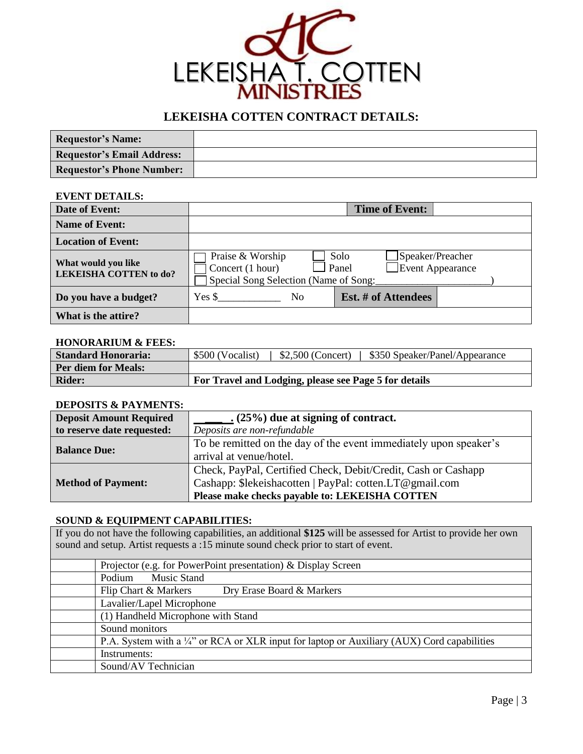

# **LEKEISHA COTTEN CONTRACT DETAILS:**

| <b>Requestor's Name:</b>          |  |
|-----------------------------------|--|
| <b>Requestor's Email Address:</b> |  |
| <b>Requestor's Phone Number:</b>  |  |

## **EVENT DETAILS:**

| Date of Event:                                       | <b>Time of Event:</b>                                                         |                                                              |  |
|------------------------------------------------------|-------------------------------------------------------------------------------|--------------------------------------------------------------|--|
| <b>Name of Event:</b>                                |                                                                               |                                                              |  |
| <b>Location of Event:</b>                            |                                                                               |                                                              |  |
| What would you like<br><b>LEKEISHA COTTEN to do?</b> | Praise & Worship<br>Concert (1 hour)<br>Special Song Selection (Name of Song: | Speaker/Preacher<br>Solo<br><b>Event Appearance</b><br>Panel |  |
| Do you have a budget?                                | $Yes$ \$<br>N <sub>0</sub>                                                    | Est. # of Attendees                                          |  |
| What is the attire?                                  |                                                                               |                                                              |  |

## **HONORARIUM & FEES:**

| <b>Standard Honoraria:</b> | $$2,500$ (Concert)<br>\$500 (Vocalist)<br>\$350 Speaker/Panel/Appearance |  |
|----------------------------|--------------------------------------------------------------------------|--|
| <b>Per diem for Meals:</b> |                                                                          |  |
| <b>Rider:</b>              | For Travel and Lodging, please see Page 5 for details                    |  |

# **DEPOSITS & PAYMENTS:**

| <b>Deposit Amount Required</b> | $(25\%)$ due at signing of contract.                              |  |
|--------------------------------|-------------------------------------------------------------------|--|
| to reserve date requested:     | Deposits are non-refundable                                       |  |
|                                | To be remitted on the day of the event immediately upon speaker's |  |
| <b>Balance Due:</b>            | arrival at venue/hotel.                                           |  |
|                                | Check, PayPal, Certified Check, Debit/Credit, Cash or Cashapp     |  |
| <b>Method of Payment:</b>      | Cashapp: \$lekeishacotten   PayPal: cotten.LT@gmail.com           |  |
|                                | Please make checks payable to: LEKEISHA COTTEN                    |  |

# **SOUND & EQUIPMENT CAPABILITIES:**

If you do not have the following capabilities, an additional **\$125** will be assessed for Artist to provide her own sound and setup. Artist requests a :15 minute sound check prior to start of event.

| Projector (e.g. for PowerPoint presentation) & Display Screen                               |  |
|---------------------------------------------------------------------------------------------|--|
| <b>Music Stand</b><br>Podium                                                                |  |
| Flip Chart & Markers<br>Dry Erase Board & Markers                                           |  |
| Lavalier/Lapel Microphone                                                                   |  |
| (1) Handheld Microphone with Stand                                                          |  |
| Sound monitors                                                                              |  |
| P.A. System with a 1/4" or RCA or XLR input for laptop or Auxiliary (AUX) Cord capabilities |  |
| Instruments:                                                                                |  |
| Sound/AV Technician                                                                         |  |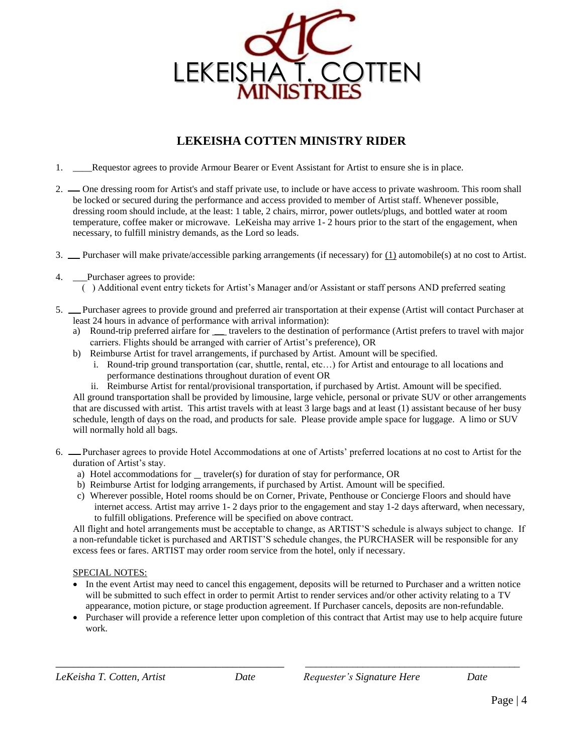

# **LEKEISHA COTTEN MINISTRY RIDER**

- 1. \_\_\_\_Requestor agrees to provide Armour Bearer or Event Assistant for Artist to ensure she is in place.
- 2. One dressing room for Artist's and staff private use, to include or have access to private washroom. This room shall be locked or secured during the performance and access provided to member of Artist staff. Whenever possible, dressing room should include, at the least: 1 table, 2 chairs, mirror, power outlets/plugs, and bottled water at room temperature, coffee maker or microwave. LeKeisha may arrive 1- 2 hours prior to the start of the engagement, when necessary, to fulfill ministry demands, as the Lord so leads.
- 3. Purchaser will make private/accessible parking arrangements (if necessary) for  $(1)$  automobile(s) at no cost to Artist.
- 4. \_\_\_Purchaser agrees to provide:
	- ( ) Additional event entry tickets for Artist's Manager and/or Assistant or staff persons AND preferred seating
- 5. Purchaser agrees to provide ground and preferred air transportation at their expense (Artist will contact Purchaser at least 24 hours in advance of performance with arrival information):
	- a) Round-trip preferred airfare for \_\_ travelers to the destination of performance (Artist prefers to travel with major carriers. Flights should be arranged with carrier of Artist's preference), OR
	- b) Reimburse Artist for travel arrangements, if purchased by Artist. Amount will be specified.
		- i. Round-trip ground transportation (car, shuttle, rental, etc…) for Artist and entourage to all locations and performance destinations throughout duration of event OR
		- ii. Reimburse Artist for rental/provisional transportation, if purchased by Artist. Amount will be specified.

All ground transportation shall be provided by limousine, large vehicle, personal or private SUV or other arrangements that are discussed with artist. This artist travels with at least 3 large bags and at least (1) assistant because of her busy schedule, length of days on the road, and products for sale. Please provide ample space for luggage. A limo or SUV will normally hold all bags.

- 6. Purchaser agrees to provide Hotel Accommodations at one of Artists' preferred locations at no cost to Artist for the duration of Artist's stay.
	- a) Hotel accommodations for  $\equiv$  traveler(s) for duration of stay for performance, OR
	- b) Reimburse Artist for lodging arrangements, if purchased by Artist. Amount will be specified.
	- c) Wherever possible, Hotel rooms should be on Corner, Private, Penthouse or Concierge Floors and should have internet access. Artist may arrive 1- 2 days prior to the engagement and stay 1-2 days afterward, when necessary, to fulfill obligations. Preference will be specified on above contract.

All flight and hotel arrangements must be acceptable to change, as ARTIST'S schedule is always subject to change. If a non-refundable ticket is purchased and ARTIST'S schedule changes, the PURCHASER will be responsible for any excess fees or fares. ARTIST may order room service from the hotel, only if necessary.

### SPECIAL NOTES:

- In the event Artist may need to cancel this engagement, deposits will be returned to Purchaser and a written notice will be submitted to such effect in order to permit Artist to render services and/or other activity relating to a TV appearance, motion picture, or stage production agreement. If Purchaser cancels, deposits are non-refundable.
- Purchaser will provide a reference letter upon completion of this contract that Artist may use to help acquire future work.

\_\_\_\_\_\_\_\_\_\_\_\_\_\_\_\_\_\_\_\_\_\_\_\_\_\_\_\_\_\_\_\_\_\_\_\_\_\_\_\_ \_\_\_\_\_\_\_\_\_\_\_\_\_\_\_\_\_\_\_\_\_\_\_\_\_\_\_\_\_\_\_\_\_\_\_\_\_\_\_\_\_